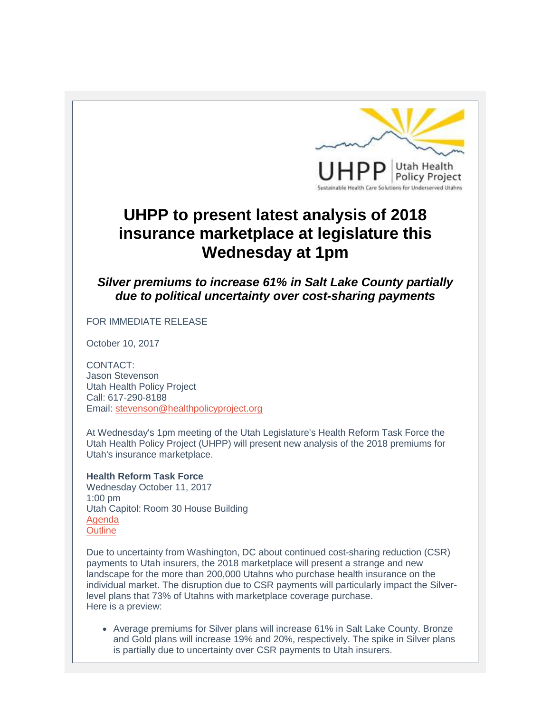

## **UHPP to present latest analysis of 2018 insurance marketplace at legislature this Wednesday at 1pm**

*Silver premiums to increase 61% in Salt Lake County partially due to political uncertainty over cost-sharing payments*

## FOR IMMEDIATE RELEASE

October 10, 2017

CONTACT: Jason Stevenson Utah Health Policy Project Call: 617-290-8188 Email: [stevenson@healthpolicyproject.org](mailto:stevenson@healthpolicyproject.org)

At Wednesday's 1pm meeting of the Utah Legislature's Health Reform Task Force the Utah Health Policy Project (UHPP) will present new analysis of the 2018 premiums for Utah's insurance marketplace.

## **Health Reform Task Force**

Wednesday October 11, 2017 1:00 pm Utah Capitol: Room 30 House Building [Agenda](http://r20.rs6.net/tn.jsp?f=001gYGcTSBLArd1_DOUELn1sLmEwsi-rMDYJ2BhUqybXIIHWqu-9vYWqa91nOmYLFQn93ZRV7kMCGFpytuBxRmY2NU3-lDKIURuERErWo7qFEtI152Jw7oSCXuogclvp9wRpuOix3hw93rGRZZ1WwufT6KSiNUhv1XrjXyz2PCKAt9RABvVyxayGW9J0GP9Cf8L&c=6CUF5nuSBYNZSwaj_TG60i4VzTMSBVALNy6Rif7YBfOtdiOhSj5C8w==&ch=XXhU8KDIjW3doq3YPeuaBwsGLJFcTjRe201lVTnx98PWbB51MA6W1A==) **[Outline](http://r20.rs6.net/tn.jsp?f=001gYGcTSBLArd1_DOUELn1sLmEwsi-rMDYJ2BhUqybXIIHWqu-9vYWqa91nOmYLFQn4aUJmYoJWMhf8vqce3D4uJVR7w20lJZ2BXcZPKsufNSTXgM5Ya9NIs8SojfjvZBbHq8bapEL_Ptu-9ccZfoSh0rjBy3ioq1pWyBfRMSbfB19qdduWNQiXLaNZiMqRxx4&c=6CUF5nuSBYNZSwaj_TG60i4VzTMSBVALNy6Rif7YBfOtdiOhSj5C8w==&ch=XXhU8KDIjW3doq3YPeuaBwsGLJFcTjRe201lVTnx98PWbB51MA6W1A==)** 

Due to uncertainty from Washington, DC about continued cost-sharing reduction (CSR) payments to Utah insurers, the 2018 marketplace will present a strange and new landscape for the more than 200,000 Utahns who purchase health insurance on the individual market. The disruption due to CSR payments will particularly impact the Silverlevel plans that 73% of Utahns with marketplace coverage purchase. Here is a preview:

 Average premiums for Silver plans will increase 61% in Salt Lake County. Bronze and Gold plans will increase 19% and 20%, respectively. The spike in Silver plans is partially due to uncertainty over CSR payments to Utah insurers.